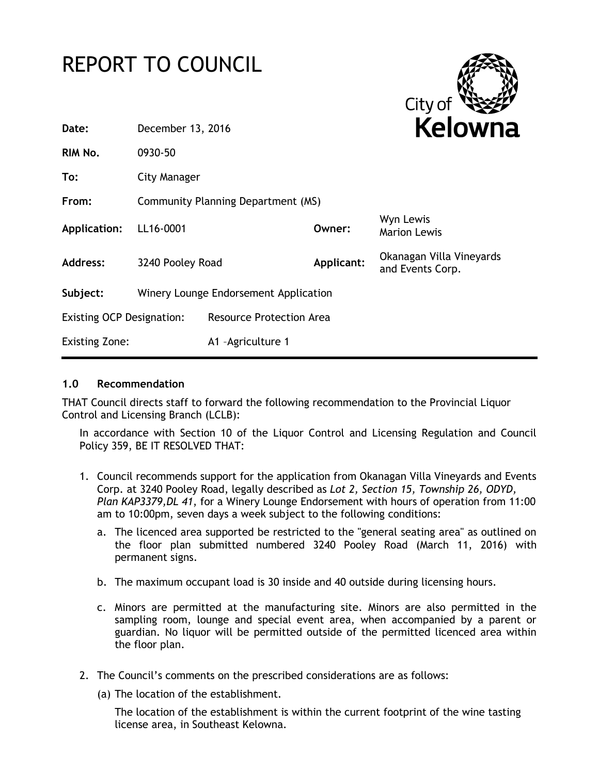# REPORT TO COUNCIL



| Date:                            | December 13, 2016                     |                                 |            | <b>Kelowna</b>                               |
|----------------------------------|---------------------------------------|---------------------------------|------------|----------------------------------------------|
| RIM No.                          | 0930-50                               |                                 |            |                                              |
| To:                              | City Manager                          |                                 |            |                                              |
| From:                            | Community Planning Department (MS)    |                                 |            |                                              |
| Application:                     | LL16-0001                             |                                 | Owner:     | Wyn Lewis<br><b>Marion Lewis</b>             |
| Address:                         | 3240 Pooley Road                      |                                 | Applicant: | Okanagan Villa Vineyards<br>and Events Corp. |
| Subject:                         | Winery Lounge Endorsement Application |                                 |            |                                              |
| <b>Existing OCP Designation:</b> |                                       | <b>Resource Protection Area</b> |            |                                              |
| <b>Existing Zone:</b>            |                                       | A1 - Agriculture 1              |            |                                              |
|                                  |                                       |                                 |            |                                              |

#### **1.0 Recommendation**

THAT Council directs staff to forward the following recommendation to the Provincial Liquor Control and Licensing Branch (LCLB):

In accordance with Section 10 of the Liquor Control and Licensing Regulation and Council Policy 359, BE IT RESOLVED THAT:

- 1. Council recommends support for the application from Okanagan Villa Vineyards and Events Corp. at 3240 Pooley Road, legally described as *Lot 2, Section 15, Township 26, ODYD, Plan KAP3379,DL 41*, for a Winery Lounge Endorsement with hours of operation from 11:00 am to 10:00pm, seven days a week subject to the following conditions:
	- a. The licenced area supported be restricted to the "general seating area" as outlined on the floor plan submitted numbered 3240 Pooley Road (March 11, 2016) with permanent signs.
	- b. The maximum occupant load is 30 inside and 40 outside during licensing hours.
	- c. Minors are permitted at the manufacturing site. Minors are also permitted in the sampling room, lounge and special event area, when accompanied by a parent or guardian. No liquor will be permitted outside of the permitted licenced area within the floor plan.
- 2. The Council's comments on the prescribed considerations are as follows:
	- (a) The location of the establishment.

The location of the establishment is within the current footprint of the wine tasting license area, in Southeast Kelowna.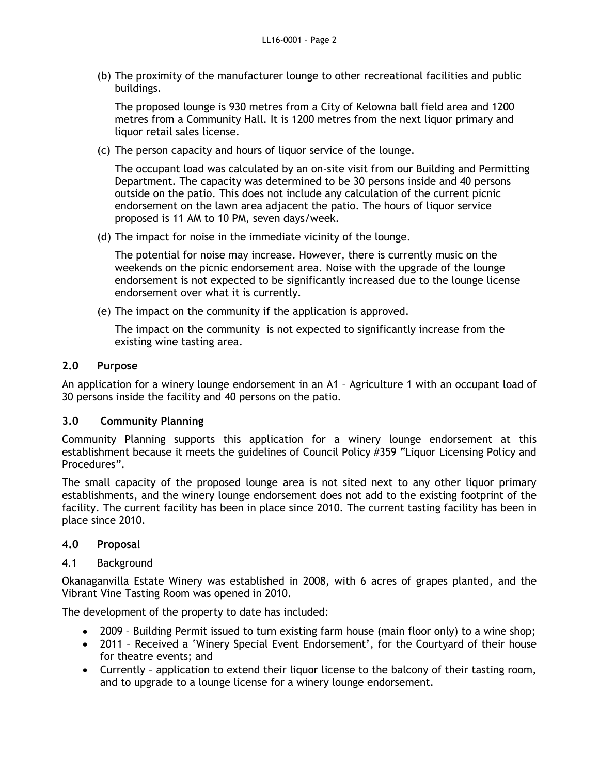(b) The proximity of the manufacturer lounge to other recreational facilities and public buildings.

The proposed lounge is 930 metres from a City of Kelowna ball field area and 1200 metres from a Community Hall. It is 1200 metres from the next liquor primary and liquor retail sales license.

(c) The person capacity and hours of liquor service of the lounge.

The occupant load was calculated by an on-site visit from our Building and Permitting Department. The capacity was determined to be 30 persons inside and 40 persons outside on the patio. This does not include any calculation of the current picnic endorsement on the lawn area adjacent the patio. The hours of liquor service proposed is 11 AM to 10 PM, seven days/week.

(d) The impact for noise in the immediate vicinity of the lounge.

The potential for noise may increase. However, there is currently music on the weekends on the picnic endorsement area. Noise with the upgrade of the lounge endorsement is not expected to be significantly increased due to the lounge license endorsement over what it is currently.

(e) The impact on the community if the application is approved.

The impact on the community is not expected to significantly increase from the existing wine tasting area.

## **2.0 Purpose**

An application for a winery lounge endorsement in an A1 – Agriculture 1 with an occupant load of 30 persons inside the facility and 40 persons on the patio.

# **3.0 Community Planning**

Community Planning supports this application for a winery lounge endorsement at this establishment because it meets the guidelines of Council Policy #359 "Liquor Licensing Policy and Procedures".

The small capacity of the proposed lounge area is not sited next to any other liquor primary establishments, and the winery lounge endorsement does not add to the existing footprint of the facility. The current facility has been in place since 2010. The current tasting facility has been in place since 2010.

# **4.0 Proposal**

#### 4.1 Background

Okanaganvilla Estate Winery was established in 2008, with 6 acres of grapes planted, and the Vibrant Vine Tasting Room was opened in 2010.

The development of the property to date has included:

- 2009 Building Permit issued to turn existing farm house (main floor only) to a wine shop;
- 2011 Received a 'Winery Special Event Endorsement', for the Courtyard of their house for theatre events; and
- Currently application to extend their liquor license to the balcony of their tasting room, and to upgrade to a lounge license for a winery lounge endorsement.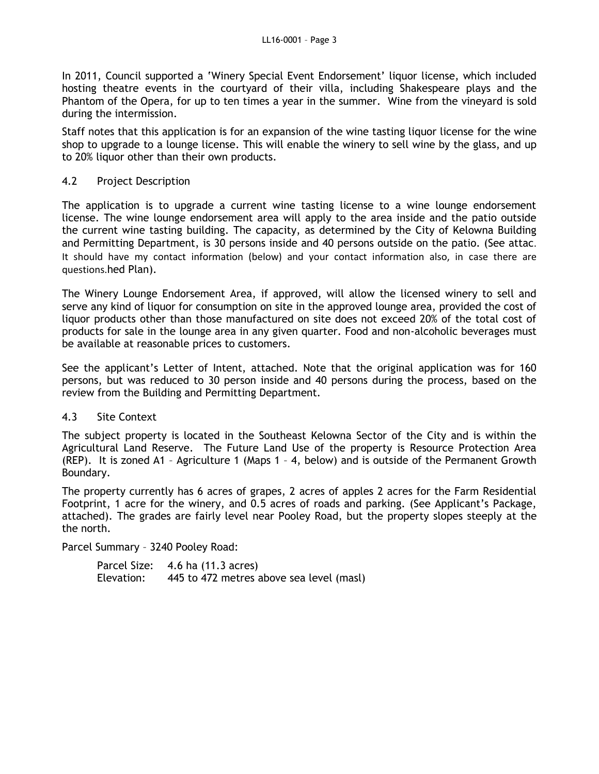In 2011, Council supported a 'Winery Special Event Endorsement' liquor license, which included hosting theatre events in the courtyard of their villa, including Shakespeare plays and the Phantom of the Opera, for up to ten times a year in the summer. Wine from the vineyard is sold during the intermission.

Staff notes that this application is for an expansion of the wine tasting liquor license for the wine shop to upgrade to a lounge license. This will enable the winery to sell wine by the glass, and up to 20% liquor other than their own products.

#### 4.2 Project Description

The application is to upgrade a current wine tasting license to a wine lounge endorsement license. The wine lounge endorsement area will apply to the area inside and the patio outside the current wine tasting building. The capacity, as determined by the City of Kelowna Building and Permitting Department, is 30 persons inside and 40 persons outside on the patio. (See attac. It should have my contact information (below) and your contact information also, in case there are questions.hed Plan).

The Winery Lounge Endorsement Area, if approved, will allow the licensed winery to sell and serve any kind of liquor for consumption on site in the approved lounge area, provided the cost of liquor products other than those manufactured on site does not exceed 20% of the total cost of products for sale in the lounge area in any given quarter. Food and non-alcoholic beverages must be available at reasonable prices to customers.

See the applicant's Letter of Intent, attached. Note that the original application was for 160 persons, but was reduced to 30 person inside and 40 persons during the process, based on the review from the Building and Permitting Department.

#### 4.3 Site Context

The subject property is located in the Southeast Kelowna Sector of the City and is within the Agricultural Land Reserve. The Future Land Use of the property is Resource Protection Area (REP). It is zoned A1 – Agriculture 1 (Maps 1 – 4, below) and is outside of the Permanent Growth Boundary.

The property currently has 6 acres of grapes, 2 acres of apples 2 acres for the Farm Residential Footprint, 1 acre for the winery, and 0.5 acres of roads and parking. (See Applicant's Package, attached). The grades are fairly level near Pooley Road, but the property slopes steeply at the the north.

Parcel Summary – 3240 Pooley Road:

|            | Parcel Size: 4.6 ha (11.3 acres)         |
|------------|------------------------------------------|
| Elevation: | 445 to 472 metres above sea level (masl) |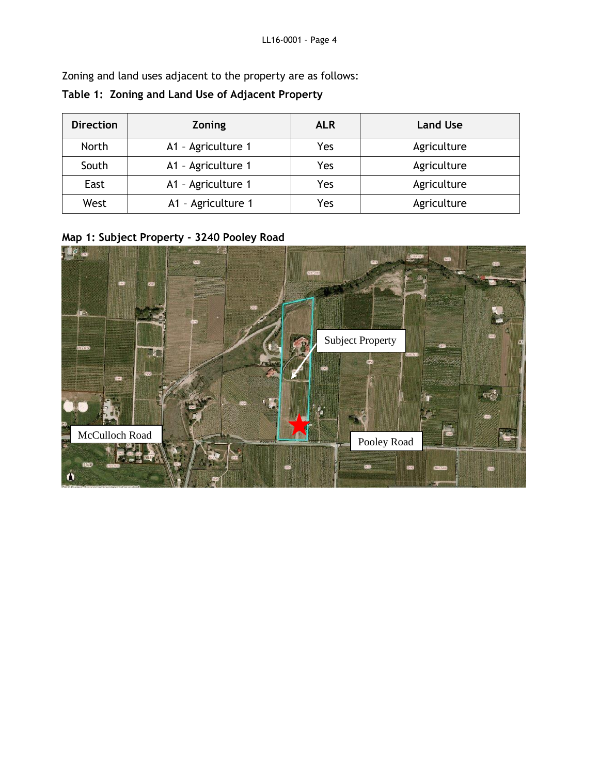Zoning and land uses adjacent to the property are as follows:

# **Table 1: Zoning and Land Use of Adjacent Property**

| <b>Direction</b> | Zoning                    | <b>ALR</b> | <b>Land Use</b> |
|------------------|---------------------------|------------|-----------------|
| <b>North</b>     | A1 - Agriculture 1        | Yes        | Agriculture     |
| South            | A1 - Agriculture 1        | Yes        | Agriculture     |
| East             | A1 - Agriculture 1<br>Yes |            | Agriculture     |
| West             | A1 - Agriculture 1        | Yes        | Agriculture     |

**Map 1: Subject Property - 3240 Pooley Road**

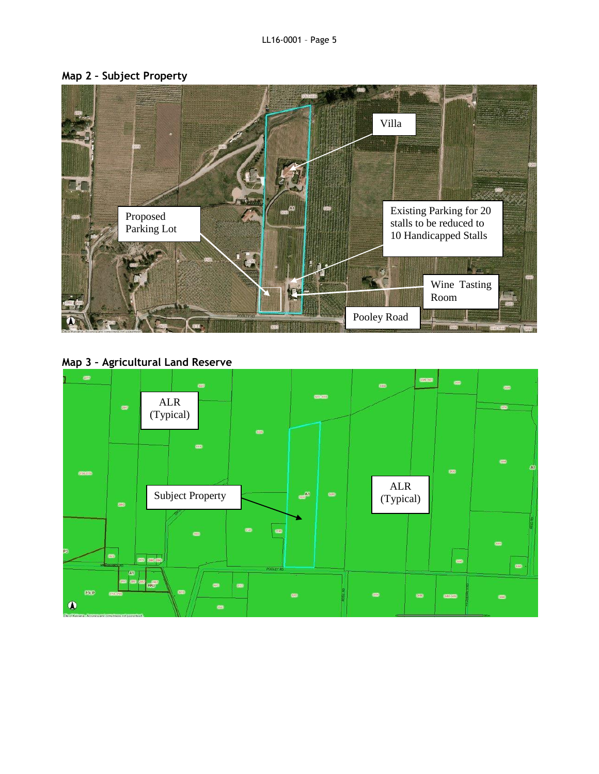



**Map 3 – Agricultural Land Reserve**

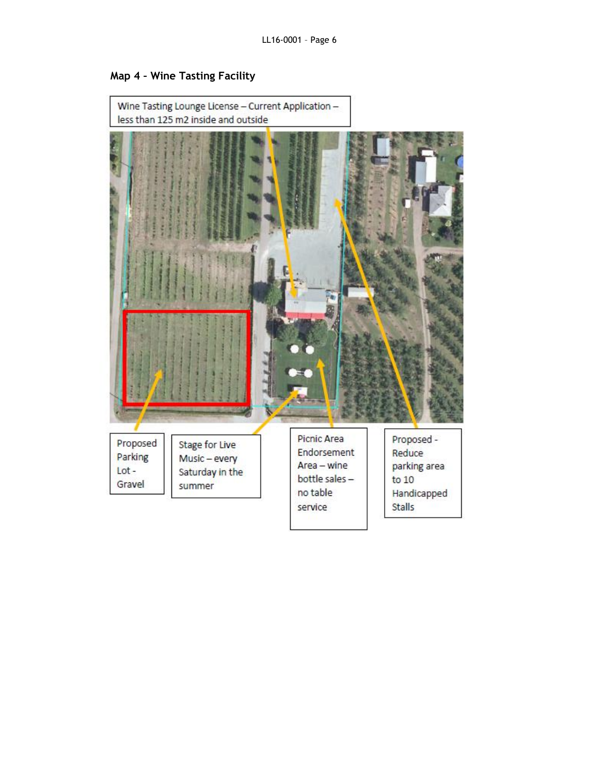

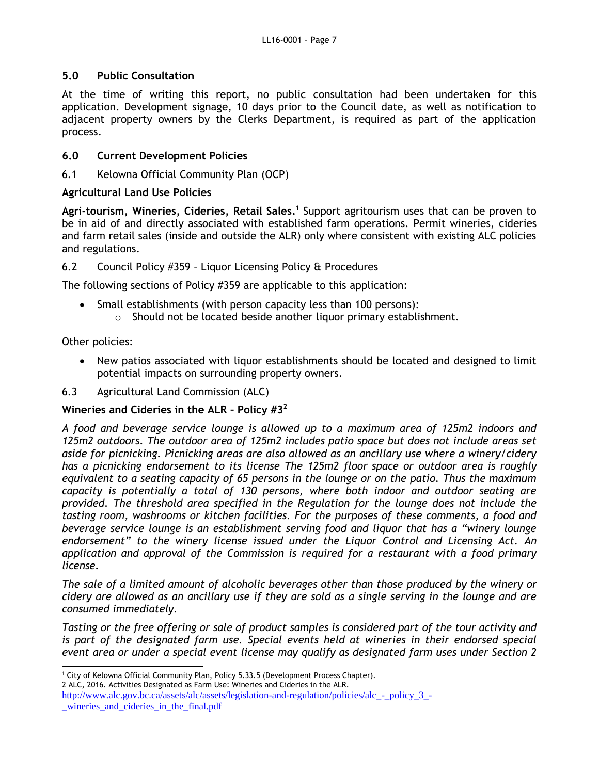#### **5.0 Public Consultation**

At the time of writing this report, no public consultation had been undertaken for this application. Development signage, 10 days prior to the Council date, as well as notification to adjacent property owners by the Clerks Department, is required as part of the application process.

#### **6.0 Current Development Policies**

6.1 Kelowna Official Community Plan (OCP)

#### **Agricultural Land Use Policies**

Agri-tourism, Wineries, Cideries, Retail Sales.<sup>1</sup> Support agritourism uses that can be proven to be in aid of and directly associated with established farm operations. Permit wineries, cideries and farm retail sales (inside and outside the ALR) only where consistent with existing ALC policies and regulations.

6.2 Council Policy #359 – Liquor Licensing Policy & Procedures

The following sections of Policy #359 are applicable to this application:

• Small establishments (with person capacity less than 100 persons): o Should not be located beside another liquor primary establishment.

Other policies:

- New patios associated with liquor establishments should be located and designed to limit potential impacts on surrounding property owners.
- 6.3 Agricultural Land Commission (ALC)

#### **Wineries and Cideries in the ALR – Policy #3<sup>2</sup>**

*A food and beverage service lounge is allowed up to a maximum area of 125m2 indoors and 125m2 outdoors. The outdoor area of 125m2 includes patio space but does not include areas set aside for picnicking. Picnicking areas are also allowed as an ancillary use where a winery/cidery has a picnicking endorsement to its license The 125m2 floor space or outdoor area is roughly equivalent to a seating capacity of 65 persons in the lounge or on the patio. Thus the maximum capacity is potentially a total of 130 persons, where both indoor and outdoor seating are provided. The threshold area specified in the Regulation for the lounge does not include the tasting room, washrooms or kitchen facilities. For the purposes of these comments, a food and beverage service lounge is an establishment serving food and liquor that has a "winery lounge endorsement" to the winery license issued under the Liquor Control and Licensing Act. An application and approval of the Commission is required for a restaurant with a food primary license.* 

*The sale of a limited amount of alcoholic beverages other than those produced by the winery or cidery are allowed as an ancillary use if they are sold as a single serving in the lounge and are consumed immediately.*

*Tasting or the free offering or sale of product samples is considered part of the tour activity and*  is part of the designated farm use. Special events held at wineries in their endorsed special *event area or under a special event license may qualify as designated farm uses under Section 2* 

<sup>1</sup> City of Kelowna Official Community Plan, Policy 5.33.5 (Development Process Chapter).

<sup>2</sup> ALC, 2016. Activities Designated as Farm Use: Wineries and Cideries in the ALR.

[http://www.alc.gov.bc.ca/assets/alc/assets/legislation-and-regulation/policies/alc\\_-\\_policy\\_3\\_](http://www.alc.gov.bc.ca/assets/alc/assets/legislation-and-regulation/policies/alc_-_policy_3_-_wineries_and_cideries_in_the_final.pdf) wineries and cideries in the final.pdf